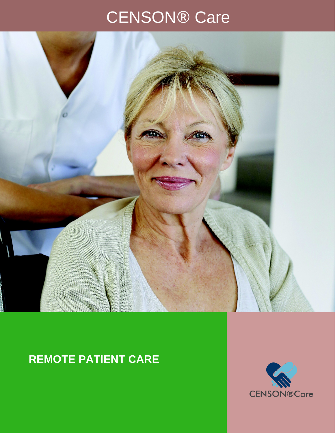# CENSON® Care



## **REMOTE PATIENT CARE**